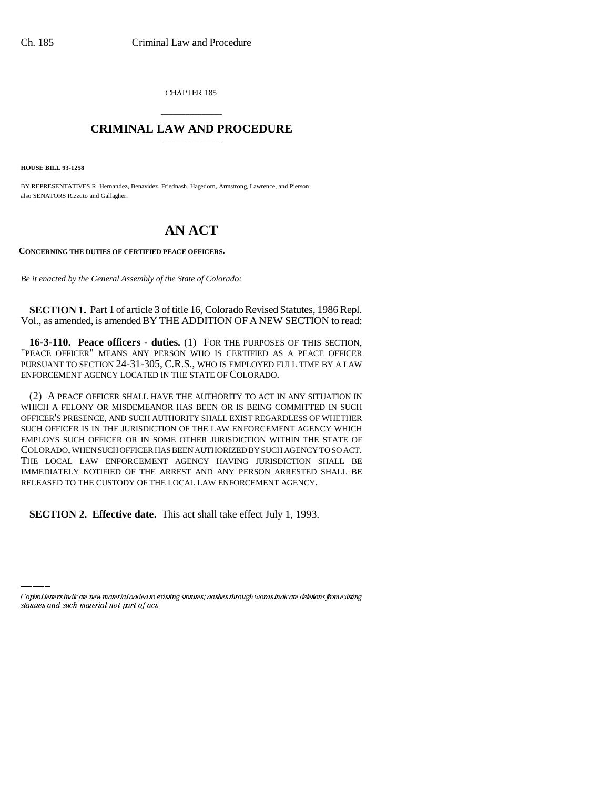CHAPTER 185

## \_\_\_\_\_\_\_\_\_\_\_\_\_\_\_ **CRIMINAL LAW AND PROCEDURE** \_\_\_\_\_\_\_\_\_\_\_\_\_\_\_

**HOUSE BILL 93-1258**

BY REPRESENTATIVES R. Hernandez, Benavidez, Friednash, Hagedorn, Armstrong, Lawrence, and Pierson; also SENATORS Rizzuto and Gallagher.

## **AN ACT**

**CONCERNING THE DUTIES OF CERTIFIED PEACE OFFICERS.**

*Be it enacted by the General Assembly of the State of Colorado:*

**SECTION 1.** Part 1 of article 3 of title 16, Colorado Revised Statutes, 1986 Repl. Vol., as amended, is amended BY THE ADDITION OF A NEW SECTION to read:

**16-3-110. Peace officers - duties.** (1) FOR THE PURPOSES OF THIS SECTION, "PEACE OFFICER" MEANS ANY PERSON WHO IS CERTIFIED AS A PEACE OFFICER PURSUANT TO SECTION 24-31-305, C.R.S., WHO IS EMPLOYED FULL TIME BY A LAW ENFORCEMENT AGENCY LOCATED IN THE STATE OF COLORADO.

(2) A PEACE OFFICER SHALL HAVE THE AUTHORITY TO ACT IN ANY SITUATION IN WHICH A FELONY OR MISDEMEANOR HAS BEEN OR IS BEING COMMITTED IN SUCH OFFICER'S PRESENCE, AND SUCH AUTHORITY SHALL EXIST REGARDLESS OF WHETHER SUCH OFFICER IS IN THE JURISDICTION OF THE LAW ENFORCEMENT AGENCY WHICH EMPLOYS SUCH OFFICER OR IN SOME OTHER JURISDICTION WITHIN THE STATE OF COLORADO, WHEN SUCH OFFICER HAS BEEN AUTHORIZED BY SUCH AGENCY TO SO ACT. THE LOCAL LAW ENFORCEMENT AGENCY HAVING JURISDICTION SHALL BE IMMEDIATELY NOTIFIED OF THE ARREST AND ANY PERSON ARRESTED SHALL BE RELEASED TO THE CUSTODY OF THE LOCAL LAW ENFORCEMENT AGENCY.

 **SECTION 2. Effective date.** This act shall take effect July 1, 1993.

Capital letters indicate new material added to existing statutes; dashes through words indicate deletions from existing statutes and such material not part of act.